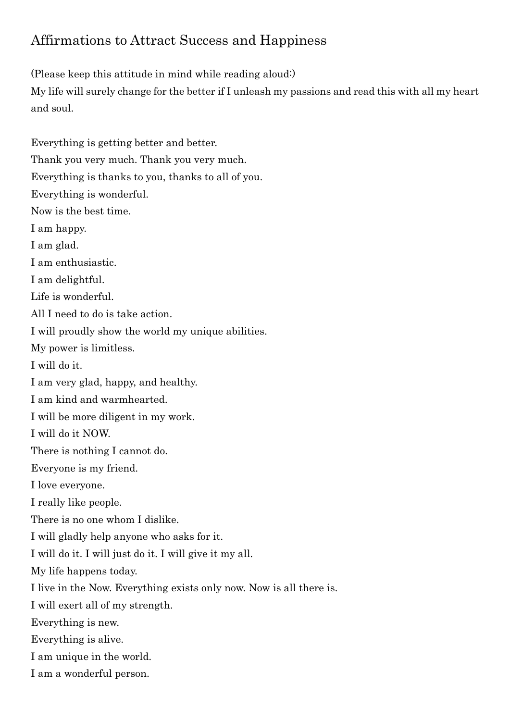## Affirmations to Attract Success and Happiness

(Please keep this attitude in mind while reading aloud:)

My life will surely change for the better if I unleash my passions and read this with all my heart and soul.

Everything is getting better and better. Thank you very much. Thank you very much. Everything is thanks to you, thanks to all of you. Everything is wonderful. Now is the best time. I am happy. I am glad. I am enthusiastic. I am delightful. Life is wonderful. All I need to do is take action. I will proudly show the world my unique abilities. My power is limitless. I will do it. I am very glad, happy, and healthy. I am kind and warmhearted. I will be more diligent in my work. I will do it NOW. There is nothing I cannot do. Everyone is my friend. I love everyone. I really like people. There is no one whom I dislike. I will gladly help anyone who asks for it. I will do it. I will just do it. I will give it my all. My life happens today. I live in the Now. Everything exists only now. Now is all there is. I will exert all of my strength. Everything is new. Everything is alive. I am unique in the world. I am a wonderful person.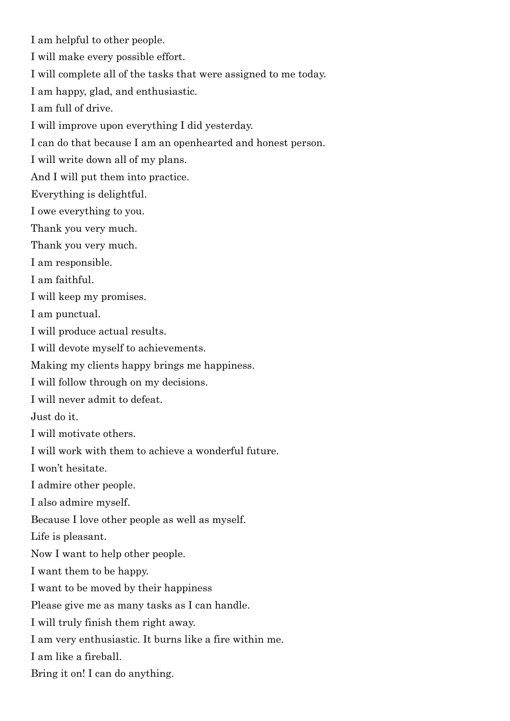I am helpful to other people.

I will make every possible effort.

I will complete all of the tasks that were assigned to me today.

I am happy, glad, and enthusiastic.

I am full of drive.

I will improve upon everything I did yesterday.

I can do that because I am an openhearted and honest person.

I will write down all of my plans.

And I will put them into practice.

Everything is delightful.

I owe everything to you.

Thank you very much.

Thank you very much.

I am responsible.

I am faithful.

I will keep my promises.

I am punctual.

I will produce actual results.

I will devote myself to achievements.

Making my clients happy brings me happiness.

I will follow through on my decisions.

I will never admit to defeat.

Just do it.

I will motivate others.

I will work with them to achieve a wonderful future.

I won't hesitate.

I admire other people.

I also admire myself.

Because I love other people as well as myself.

Life is pleasant.

Now I want to help other people.

I want them to be happy.

I want to be moved by their happiness

Please give me as many tasks as I can handle.

I will truly finish them right away.

I am very enthusiastic. It burns like a fire within me.

I am like a fireball.

Bring it on! I can do anything.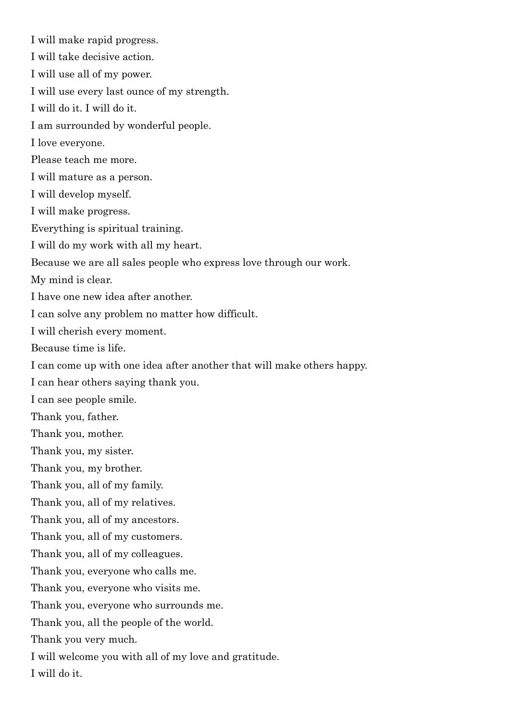I will make rapid progress. I will take decisive action. I will use all of my power. I will use every last ounce of my strength. I will do it. I will do it. I am surrounded by wonderful people. I love everyone. Please teach me more. I will mature as a person. I will develop myself. I will make progress. Everything is spiritual training. I will do my work with all my heart. Because we are all sales people who express love through our work. My mind is clear. I have one new idea after another. I can solve any problem no matter how difficult. I will cherish every moment. Because time is life. I can come up with one idea after another that will make others happy. I can hear others saying thank you. I can see people smile. Thank you, father. Thank you, mother. Thank you, my sister. Thank you, my brother. Thank you, all of my family. Thank you, all of my relatives. Thank you, all of my ancestors. Thank you, all of my customers. Thank you, all of my colleagues. Thank you, everyone who calls me. Thank you, everyone who visits me. Thank you, everyone who surrounds me. Thank you, all the people of the world. Thank you very much. I will welcome you with all of my love and gratitude.

I will do it.